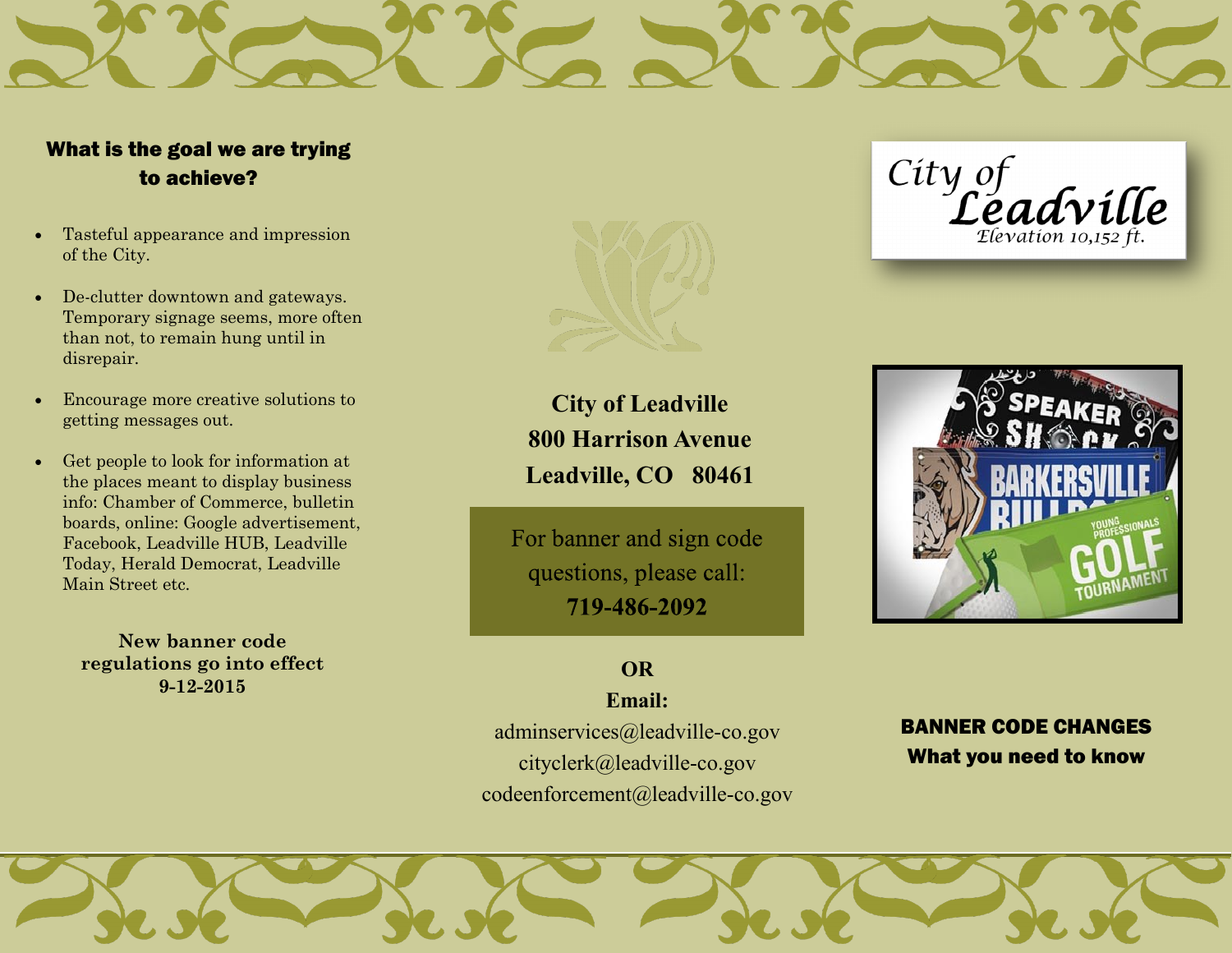# What is the goal we are trying to achieve?

- Tasteful appearance and impression of the City.
- De-clutter downtown and gateways. Temporary signage seems, more often than not, to remain hung until in disrepair.
- Encourage more creative solutions to getting messages out.
- Get people to look for information at the places meant to display business info: Chamber of Commerce, bulletin boards, online: Google advertisement, Facebook, Leadville HUB, Leadville Today, Herald Democrat, Leadville Main Street etc.

**New banner code regulations go into effect 9-12-2015**



**City of Leadville 800 Harrison Avenue Leadville, CO 80461**

For banner and sign code questions, please call: 719-486-2092

# **OR**

**Email:**  adminservices@leadville-co.gov cityclerk@leadville-co.gov codeenforcement@leadville-co.gov

City of<br>Leadville  $E$ evation 10.152 ft.



# BANNER CODE CHANGES What you need to know